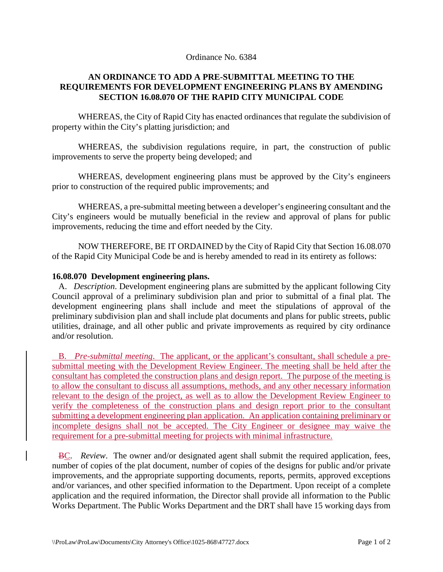## Ordinance No. 6384

## **AN ORDINANCE TO ADD A PRE-SUBMITTAL MEETING TO THE REQUIREMENTS FOR DEVELOPMENT ENGINEERING PLANS BY AMENDING SECTION 16.08.070 OF THE RAPID CITY MUNICIPAL CODE**

WHEREAS, the City of Rapid City has enacted ordinances that regulate the subdivision of property within the City's platting jurisdiction; and

WHEREAS, the subdivision regulations require, in part, the construction of public improvements to serve the property being developed; and

WHEREAS, development engineering plans must be approved by the City's engineers prior to construction of the required public improvements; and

WHEREAS, a pre-submittal meeting between a developer's engineering consultant and the City's engineers would be mutually beneficial in the review and approval of plans for public improvements, reducing the time and effort needed by the City.

NOW THEREFORE, BE IT ORDAINED by the City of Rapid City that Section 16.08.070 of the Rapid City Municipal Code be and is hereby amended to read in its entirety as follows:

## **16.08.070 Development engineering plans.**

 A. *Description*. Development engineering plans are submitted by the applicant following City Council approval of a preliminary subdivision plan and prior to submittal of a final plat. The development engineering plans shall include and meet the stipulations of approval of the preliminary subdivision plan and shall include plat documents and plans for public streets, public utilities, drainage, and all other public and private improvements as required by city ordinance and/or resolution.

 B. *Pre-submittal meeting*. The applicant, or the applicant's consultant, shall schedule a presubmittal meeting with the Development Review Engineer. The meeting shall be held after the consultant has completed the construction plans and design report. The purpose of the meeting is to allow the consultant to discuss all assumptions, methods, and any other necessary information relevant to the design of the project, as well as to allow the Development Review Engineer to verify the completeness of the construction plans and design report prior to the consultant submitting a development engineering plan application. An application containing preliminary or incomplete designs shall not be accepted. The City Engineer or designee may waive the requirement for a pre-submittal meeting for projects with minimal infrastructure.

 BC. *Review*. The owner and/or designated agent shall submit the required application, fees, number of copies of the plat document, number of copies of the designs for public and/or private improvements, and the appropriate supporting documents, reports, permits, approved exceptions and/or variances, and other specified information to the Department. Upon receipt of a complete application and the required information, the Director shall provide all information to the Public Works Department. The Public Works Department and the DRT shall have 15 working days from